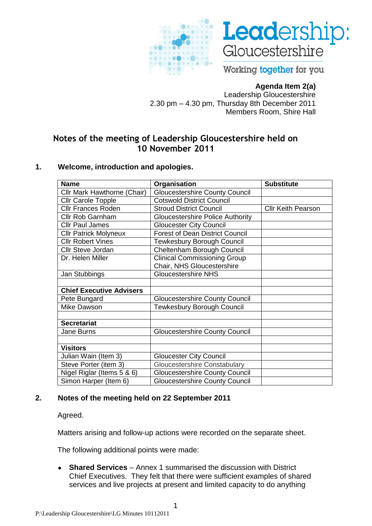



Working together for you

# **Agenda Item 2(a)**

Leadership Gloucestershire 2.30 pm – 4.30 pm, Thursday 8th December 2011 Members Room, Shire Hall

# **Notes of the meeting of Leadership Gloucestershire held on 10 November 2011**

### **1. Welcome, introduction and apologies.**

| <b>Name</b>                     | Organisation                            | <b>Substitute</b>         |
|---------------------------------|-----------------------------------------|---------------------------|
| Cllr Mark Hawthorne (Chair)     | <b>Gloucestershire County Council</b>   |                           |
| <b>Cllr Carole Topple</b>       | <b>Cotswold District Council</b>        |                           |
| <b>Cllr Frances Roden</b>       | <b>Stroud District Council</b>          | <b>CIIr Keith Pearson</b> |
| <b>Cllr Rob Garnham</b>         | <b>Gloucestershire Police Authority</b> |                           |
| <b>Cllr Paul James</b>          | <b>Gloucester City Council</b>          |                           |
| <b>Cllr Patrick Molyneux</b>    | <b>Forest of Dean District Council</b>  |                           |
| <b>Cllr Robert Vines</b>        | Tewkesbury Borough Council              |                           |
| <b>Cllr Steve Jordan</b>        | Cheltenham Borough Council              |                           |
| Dr. Helen Miller                | <b>Clinical Commissioning Group</b>     |                           |
|                                 | Chair, NHS Gloucestershire              |                           |
| Jan Stubbings                   | <b>Gloucestershire NHS</b>              |                           |
|                                 |                                         |                           |
| <b>Chief Executive Advisers</b> |                                         |                           |
| Pete Bungard                    | <b>Gloucestershire County Council</b>   |                           |
| <b>Mike Dawson</b>              | <b>Tewkesbury Borough Council</b>       |                           |
|                                 |                                         |                           |
| <b>Secretariat</b>              |                                         |                           |
| Jane Burns                      | <b>Gloucestershire County Council</b>   |                           |
|                                 |                                         |                           |
| <b>Visitors</b>                 |                                         |                           |
| Julian Wain (Item 3)            | <b>Gloucester City Council</b>          |                           |
| Steve Porter (item 3)           | <b>Gloucestershire Constabulary</b>     |                           |
| Nigel Riglar (Items 5 & 6)      | <b>Gloucestershire County Council</b>   |                           |
| Simon Harper (Item 6)           | <b>Gloucestershire County Council</b>   |                           |

# **2. Notes of the meeting held on 22 September 2011**

Agreed.

Matters arising and follow-up actions were recorded on the separate sheet.

The following additional points were made:

**Shared Services** – Annex 1 summarised the discussion with District  $\bullet$ Chief Executives. They felt that there were sufficient examples of shared services and live projects at present and limited capacity to do anything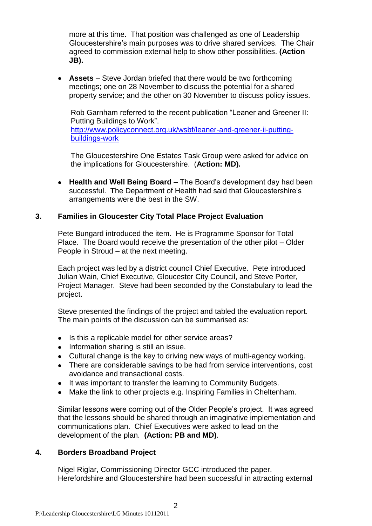more at this time. That position was challenged as one of Leadership Gloucestershire's main purposes was to drive shared services. The Chair agreed to commission external help to show other possibilities. **(Action JB).**

**Assets** – Steve Jordan briefed that there would be two forthcoming meetings; one on 28 November to discuss the potential for a shared property service; and the other on 30 November to discuss policy issues.

Rob Garnham referred to the recent publication "Leaner and Greener II: Putting Buildings to Work".

[http://www.policyconnect.org.uk/wsbf/leaner-and-greener-ii-putting](http://www.policyconnect.org.uk/wsbf/leaner-and-greener-ii-putting-buildings-work)[buildings-work](http://www.policyconnect.org.uk/wsbf/leaner-and-greener-ii-putting-buildings-work)

The Gloucestershire One Estates Task Group were asked for advice on the implications for Gloucestershire. (**Action: MD).**

**Health and Well Being Board** – The Board's development day had been  $\bullet$ successful. The Department of Health had said that Gloucestershire's arrangements were the best in the SW.

### **3. Families in Gloucester City Total Place Project Evaluation**

Pete Bungard introduced the item. He is Programme Sponsor for Total Place. The Board would receive the presentation of the other pilot – Older People in Stroud – at the next meeting.

Each project was led by a district council Chief Executive. Pete introduced Julian Wain, Chief Executive, Gloucester City Council, and Steve Porter, Project Manager. Steve had been seconded by the Constabulary to lead the project.

Steve presented the findings of the project and tabled the evaluation report. The main points of the discussion can be summarised as:

- Is this a replicable model for other service areas?
- Information sharing is still an issue.
- Cultural change is the key to driving new ways of multi-agency working.
- There are considerable savings to be had from service interventions, cost avoidance and transactional costs.
- It was important to transfer the learning to Community Budgets.
- Make the link to other projects e.g. Inspiring Families in Cheltenham.

Similar lessons were coming out of the Older People's project. It was agreed that the lessons should be shared through an imaginative implementation and communications plan. Chief Executives were asked to lead on the development of the plan. **(Action: PB and MD)**.

### **4. Borders Broadband Project**

Nigel Riglar, Commissioning Director GCC introduced the paper. Herefordshire and Gloucestershire had been successful in attracting external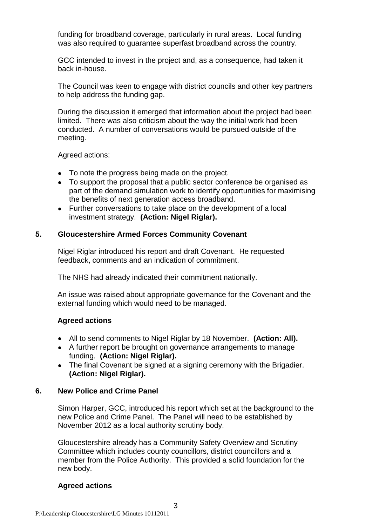funding for broadband coverage, particularly in rural areas. Local funding was also required to guarantee superfast broadband across the country.

GCC intended to invest in the project and, as a consequence, had taken it back in-house.

The Council was keen to engage with district councils and other key partners to help address the funding gap.

During the discussion it emerged that information about the project had been limited. There was also criticism about the way the initial work had been conducted. A number of conversations would be pursued outside of the meeting.

Agreed actions:

- To note the progress being made on the project.
- To support the proposal that a public sector conference be organised as part of the demand simulation work to identify opportunities for maximising the benefits of next generation access broadband.
- Further conversations to take place on the development of a local investment strategy. **(Action: Nigel Riglar).**

### **5. Gloucestershire Armed Forces Community Covenant**

Nigel Riglar introduced his report and draft Covenant. He requested feedback, comments and an indication of commitment.

The NHS had already indicated their commitment nationally.

An issue was raised about appropriate governance for the Covenant and the external funding which would need to be managed.

### **Agreed actions**

- All to send comments to Nigel Riglar by 18 November. **(Action: All).**
- A further report be brought on governance arrangements to manage funding. **(Action: Nigel Riglar).**
- The final Covenant be signed at a signing ceremony with the Brigadier. **(Action: Nigel Riglar).**

### **6. New Police and Crime Panel**

Simon Harper, GCC, introduced his report which set at the background to the new Police and Crime Panel. The Panel will need to be established by November 2012 as a local authority scrutiny body.

Gloucestershire already has a Community Safety Overview and Scrutiny Committee which includes county councillors, district councillors and a member from the Police Authority. This provided a solid foundation for the new body.

### **Agreed actions**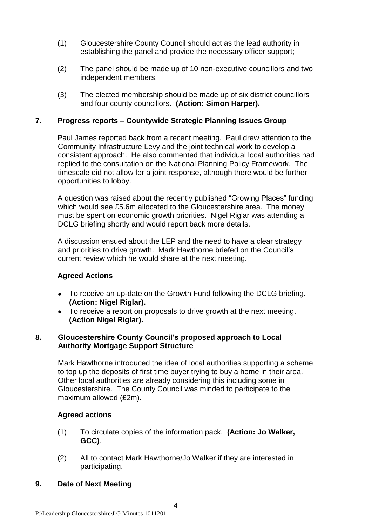- (1) Gloucestershire County Council should act as the lead authority in establishing the panel and provide the necessary officer support;
- (2) The panel should be made up of 10 non-executive councillors and two independent members.
- (3) The elected membership should be made up of six district councillors and four county councillors. **(Action: Simon Harper).**

# **7. Progress reports – Countywide Strategic Planning Issues Group**

Paul James reported back from a recent meeting. Paul drew attention to the Community Infrastructure Levy and the joint technical work to develop a consistent approach. He also commented that individual local authorities had replied to the consultation on the National Planning Policy Framework. The timescale did not allow for a joint response, although there would be further opportunities to lobby.

A question was raised about the recently published "Growing Places" funding which would see £5.6m allocated to the Gloucestershire area. The money must be spent on economic growth priorities. Nigel Riglar was attending a DCLG briefing shortly and would report back more details.

A discussion ensued about the LEP and the need to have a clear strategy and priorities to drive growth. Mark Hawthorne briefed on the Council's current review which he would share at the next meeting.

### **Agreed Actions**

- To receive an up-date on the Growth Fund following the DCLG briefing. **(Action: Nigel Riglar).**
- To receive a report on proposals to drive growth at the next meeting. **(Action Nigel Riglar).**

### **8. Gloucestershire County Council's proposed approach to Local Authority Mortgage Support Structure**

Mark Hawthorne introduced the idea of local authorities supporting a scheme to top up the deposits of first time buyer trying to buy a home in their area. Other local authorities are already considering this including some in Gloucestershire. The County Council was minded to participate to the maximum allowed (£2m).

# **Agreed actions**

- (1) To circulate copies of the information pack. **(Action: Jo Walker, GCC)**.
- (2) All to contact Mark Hawthorne/Jo Walker if they are interested in participating.

### **9. Date of Next Meeting**